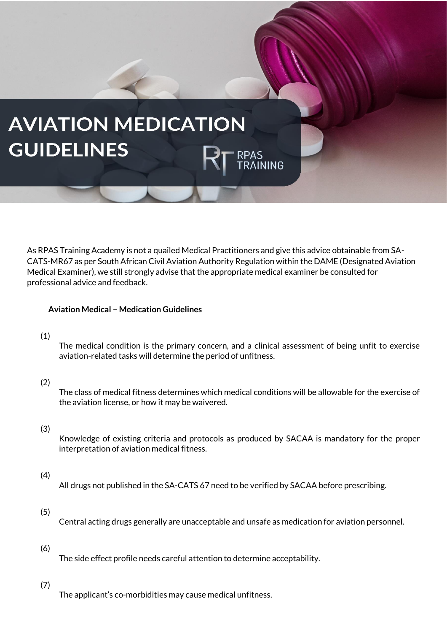# **AVIATION MEDICATION GUIDELINES** PAS<br>RAINING

As RPAS Training Academy is not a quailed Medical Practitioners and give this advice obtainable from SA-CATS-MR67 as per South African Civil Aviation Authority Regulation within the DAME (Designated Aviation Medical Examiner), we still strongly advise that the appropriate medical examiner be consulted for professional advice and feedback.

## **Aviation Medical – Medication Guidelines**

## (1)

The medical condition is the primary concern, and a clinical assessment of being unfit to exercise aviation-related tasks will determine the period of unfitness.

## (2)

The class of medical fitness determines which medical conditions will be allowable for the exercise of the aviation license, or how it may be waivered.

#### (3)

Knowledge of existing criteria and protocols as produced by SACAA is mandatory for the proper interpretation of aviation medical fitness.

## (4)

All drugs not published in the SA-CATS 67 need to be verified by SACAA before prescribing.

#### (5)

Central acting drugs generally are unacceptable and unsafe as medication for aviation personnel.

#### (6)

The side effect profile needs careful attention to determine acceptability.

#### (7)

The applicant's co-morbidities may cause medical unfitness.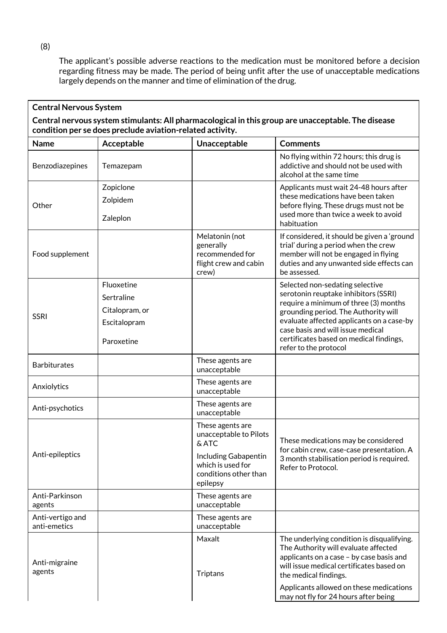The applicant's possible adverse reactions to the medication must be monitored before a decision regarding fitness may be made. The period of being unfit after the use of unacceptable medications largely depends on the manner and time of elimination of the drug.

| <b>Central Nervous System</b>                                                                                                                                   |                                                                          |                                                                                                                                       |                                                                                                                                                                                                                                                                                                                |  |  |
|-----------------------------------------------------------------------------------------------------------------------------------------------------------------|--------------------------------------------------------------------------|---------------------------------------------------------------------------------------------------------------------------------------|----------------------------------------------------------------------------------------------------------------------------------------------------------------------------------------------------------------------------------------------------------------------------------------------------------------|--|--|
| Central nervous system stimulants: All pharmacological in this group are unacceptable. The disease<br>condition per se does preclude aviation-related activity. |                                                                          |                                                                                                                                       |                                                                                                                                                                                                                                                                                                                |  |  |
| <b>Name</b>                                                                                                                                                     | Acceptable                                                               | Unacceptable                                                                                                                          | <b>Comments</b>                                                                                                                                                                                                                                                                                                |  |  |
| Benzodiazepines                                                                                                                                                 | Temazepam                                                                |                                                                                                                                       | No flying within 72 hours; this drug is<br>addictive and should not be used with<br>alcohol at the same time                                                                                                                                                                                                   |  |  |
| Other                                                                                                                                                           | Zopiclone<br>Zolpidem<br>Zaleplon                                        |                                                                                                                                       | Applicants must wait 24-48 hours after<br>these medications have been taken<br>before flying. These drugs must not be<br>used more than twice a week to avoid<br>habituation                                                                                                                                   |  |  |
| Food supplement                                                                                                                                                 |                                                                          | Melatonin (not<br>generally<br>recommended for<br>flight crew and cabin<br>crew)                                                      | If considered, it should be given a 'ground<br>trial' during a period when the crew<br>member will not be engaged in flying<br>duties and any unwanted side effects can<br>be assessed.                                                                                                                        |  |  |
| <b>SSRI</b>                                                                                                                                                     | Fluoxetine<br>Sertraline<br>Citalopram, or<br>Escitalopram<br>Paroxetine |                                                                                                                                       | Selected non-sedating selective<br>serotonin reuptake inhibitors (SSRI)<br>require a minimum of three (3) months<br>grounding period. The Authority will<br>evaluate affected applicants on a case-by<br>case basis and will issue medical<br>certificates based on medical findings,<br>refer to the protocol |  |  |
| <b>Barbiturates</b>                                                                                                                                             |                                                                          | These agents are<br>unacceptable                                                                                                      |                                                                                                                                                                                                                                                                                                                |  |  |
| Anxiolytics                                                                                                                                                     |                                                                          | These agents are<br>unacceptable                                                                                                      |                                                                                                                                                                                                                                                                                                                |  |  |
| Anti-psychotics                                                                                                                                                 |                                                                          | These agents are<br>unacceptable                                                                                                      |                                                                                                                                                                                                                                                                                                                |  |  |
| Anti-epileptics                                                                                                                                                 |                                                                          | These agents are<br>unacceptable to Pilots<br>& ATC<br>Including Gabapentin<br>which is used for<br>conditions other than<br>epilepsy | These medications may be considered<br>for cabin crew, case-case presentation. A<br>3 month stabilisation period is required.<br>Refer to Protocol.                                                                                                                                                            |  |  |
| Anti-Parkinson<br>agents                                                                                                                                        |                                                                          | These agents are<br>unacceptable                                                                                                      |                                                                                                                                                                                                                                                                                                                |  |  |
| Anti-vertigo and<br>anti-emetics                                                                                                                                |                                                                          | These agents are<br>unacceptable                                                                                                      |                                                                                                                                                                                                                                                                                                                |  |  |
| Anti-migraine<br>agents                                                                                                                                         |                                                                          | Maxalt<br>Triptans                                                                                                                    | The underlying condition is disqualifying.<br>The Authority will evaluate affected<br>applicants on a case - by case basis and<br>will issue medical certificates based on<br>the medical findings.<br>Applicants allowed on these medications<br>may not fly for 24 hours after being                         |  |  |

(8)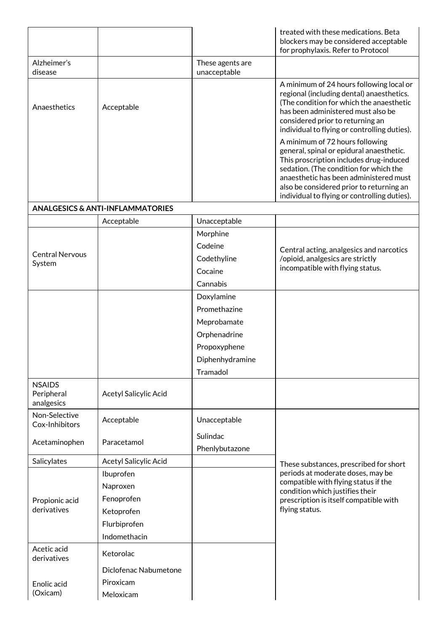|                                           |                                             |                                  | treated with these medications. Beta<br>blockers may be considered acceptable<br>for prophylaxis. Refer to Protocol                                                                                                                                                                                    |
|-------------------------------------------|---------------------------------------------|----------------------------------|--------------------------------------------------------------------------------------------------------------------------------------------------------------------------------------------------------------------------------------------------------------------------------------------------------|
| Alzheimer's<br>disease                    |                                             | These agents are<br>unacceptable |                                                                                                                                                                                                                                                                                                        |
| Anaesthetics                              | Acceptable                                  |                                  | A minimum of 24 hours following local or<br>regional (including dental) anaesthetics.<br>(The condition for which the anaesthetic<br>has been administered must also be<br>considered prior to returning an<br>individual to flying or controlling duties).                                            |
|                                           |                                             |                                  | A minimum of 72 hours following<br>general, spinal or epidural anaesthetic.<br>This proscription includes drug-induced<br>sedation. (The condition for which the<br>anaesthetic has been administered must<br>also be considered prior to returning an<br>individual to flying or controlling duties). |
|                                           | <b>ANALGESICS &amp; ANTI-INFLAMMATORIES</b> |                                  |                                                                                                                                                                                                                                                                                                        |
|                                           | Acceptable                                  | Unacceptable                     |                                                                                                                                                                                                                                                                                                        |
|                                           |                                             | Morphine                         |                                                                                                                                                                                                                                                                                                        |
|                                           |                                             | Codeine                          | Central acting, analgesics and narcotics                                                                                                                                                                                                                                                               |
| <b>Central Nervous</b><br>System          |                                             | Codethyline                      | /opioid, analgesics are strictly                                                                                                                                                                                                                                                                       |
|                                           |                                             | Cocaine                          | incompatible with flying status.                                                                                                                                                                                                                                                                       |
|                                           |                                             | Cannabis                         |                                                                                                                                                                                                                                                                                                        |
|                                           |                                             | Doxylamine                       |                                                                                                                                                                                                                                                                                                        |
|                                           |                                             | Promethazine                     |                                                                                                                                                                                                                                                                                                        |
|                                           |                                             | Meprobamate                      |                                                                                                                                                                                                                                                                                                        |
|                                           |                                             | Orphenadrine                     |                                                                                                                                                                                                                                                                                                        |
|                                           |                                             | Propoxyphene                     |                                                                                                                                                                                                                                                                                                        |
|                                           |                                             | Diphenhydramine                  |                                                                                                                                                                                                                                                                                                        |
|                                           |                                             | Tramadol                         |                                                                                                                                                                                                                                                                                                        |
| <b>NSAIDS</b><br>Peripheral<br>analgesics | Acetyl Salicylic Acid                       |                                  |                                                                                                                                                                                                                                                                                                        |
| Non-Selective<br>Cox-Inhibitors           | Acceptable                                  | Unacceptable                     |                                                                                                                                                                                                                                                                                                        |
| Acetaminophen                             | Paracetamol                                 | Sulindac<br>Phenlybutazone       |                                                                                                                                                                                                                                                                                                        |
| Salicylates                               | Acetyl Salicylic Acid                       |                                  | These substances, prescribed for short                                                                                                                                                                                                                                                                 |
|                                           | Ibuprofen                                   |                                  | periods at moderate doses, may be                                                                                                                                                                                                                                                                      |
|                                           | Naproxen                                    |                                  | compatible with flying status if the                                                                                                                                                                                                                                                                   |
| Propionic acid                            | Fenoprofen                                  |                                  | condition which justifies their<br>prescription is itself compatible with                                                                                                                                                                                                                              |
| derivatives                               | Ketoprofen                                  |                                  | flying status.                                                                                                                                                                                                                                                                                         |
|                                           | Flurbiprofen                                |                                  |                                                                                                                                                                                                                                                                                                        |
|                                           | Indomethacin                                |                                  |                                                                                                                                                                                                                                                                                                        |
| Acetic acid<br>derivatives                | Ketorolac                                   |                                  |                                                                                                                                                                                                                                                                                                        |
|                                           | Diclofenac Nabumetone                       |                                  |                                                                                                                                                                                                                                                                                                        |
| Enolic acid                               | Piroxicam                                   |                                  |                                                                                                                                                                                                                                                                                                        |
| (Oxicam)                                  | Meloxicam                                   |                                  |                                                                                                                                                                                                                                                                                                        |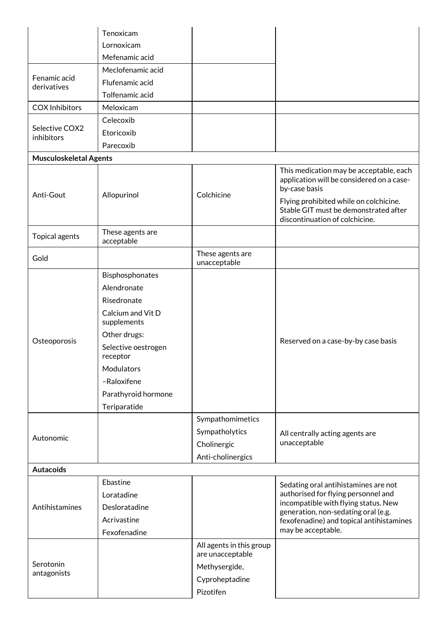|                               | Tenoxicam                        |                                              |                                                                                                                                                                                                                            |
|-------------------------------|----------------------------------|----------------------------------------------|----------------------------------------------------------------------------------------------------------------------------------------------------------------------------------------------------------------------------|
|                               | Lornoxicam                       |                                              |                                                                                                                                                                                                                            |
|                               | Mefenamic acid                   |                                              |                                                                                                                                                                                                                            |
|                               | Meclofenamic acid                |                                              |                                                                                                                                                                                                                            |
| Fenamic acid<br>derivatives   | Flufenamic acid                  |                                              |                                                                                                                                                                                                                            |
|                               | Tolfenamic acid                  |                                              |                                                                                                                                                                                                                            |
| <b>COX Inhibitors</b>         | Meloxicam                        |                                              |                                                                                                                                                                                                                            |
|                               | Celecoxib                        |                                              |                                                                                                                                                                                                                            |
| Selective COX2<br>inhibitors  | Etoricoxib                       |                                              |                                                                                                                                                                                                                            |
|                               | Parecoxib                        |                                              |                                                                                                                                                                                                                            |
| <b>Musculoskeletal Agents</b> |                                  |                                              |                                                                                                                                                                                                                            |
| Anti-Gout                     | Allopurinol                      | Colchicine                                   | This medication may be acceptable, each<br>application will be considered on a case-<br>by-case basis<br>Flying prohibited while on colchicine.<br>Stable GIT must be demonstrated after<br>discontinuation of colchicine. |
| Topical agents                | These agents are<br>acceptable   |                                              |                                                                                                                                                                                                                            |
| Gold                          |                                  | These agents are<br>unacceptable             |                                                                                                                                                                                                                            |
|                               | Bisphosphonates                  |                                              |                                                                                                                                                                                                                            |
|                               | Alendronate                      |                                              |                                                                                                                                                                                                                            |
|                               | Risedronate                      |                                              |                                                                                                                                                                                                                            |
|                               | Calcium and Vit D<br>supplements |                                              |                                                                                                                                                                                                                            |
|                               | Other drugs:                     |                                              |                                                                                                                                                                                                                            |
| Osteoporosis                  | Selective oestrogen<br>receptor  |                                              | Reserved on a case-by-by case basis                                                                                                                                                                                        |
|                               | Modulators                       |                                              |                                                                                                                                                                                                                            |
|                               | -Raloxifene                      |                                              |                                                                                                                                                                                                                            |
|                               | Parathyroid hormone              |                                              |                                                                                                                                                                                                                            |
|                               | Teriparatide                     |                                              |                                                                                                                                                                                                                            |
|                               |                                  | Sympathomimetics                             |                                                                                                                                                                                                                            |
|                               |                                  | Sympatholytics                               | All centrally acting agents are                                                                                                                                                                                            |
| Autonomic                     |                                  | Cholinergic                                  | unacceptable                                                                                                                                                                                                               |
|                               |                                  | Anti-cholinergics                            |                                                                                                                                                                                                                            |
| <b>Autacoids</b>              |                                  |                                              |                                                                                                                                                                                                                            |
|                               | Ebastine                         |                                              | Sedating oral antihistamines are not                                                                                                                                                                                       |
|                               | Loratadine                       |                                              | authorised for flying personnel and                                                                                                                                                                                        |
| Antihistamines                | Desloratadine                    |                                              | incompatible with flying status. New<br>generation, non-sedating oral (e.g.                                                                                                                                                |
|                               | Acrivastine                      |                                              | fexofenadine) and topical antihistamines                                                                                                                                                                                   |
|                               | Fexofenadine                     |                                              | may be acceptable.                                                                                                                                                                                                         |
|                               |                                  | All agents in this group<br>are unacceptable |                                                                                                                                                                                                                            |
| Serotonin                     |                                  | Methysergide,                                |                                                                                                                                                                                                                            |
| antagonists                   |                                  | Cyproheptadine                               |                                                                                                                                                                                                                            |
|                               |                                  | Pizotifen                                    |                                                                                                                                                                                                                            |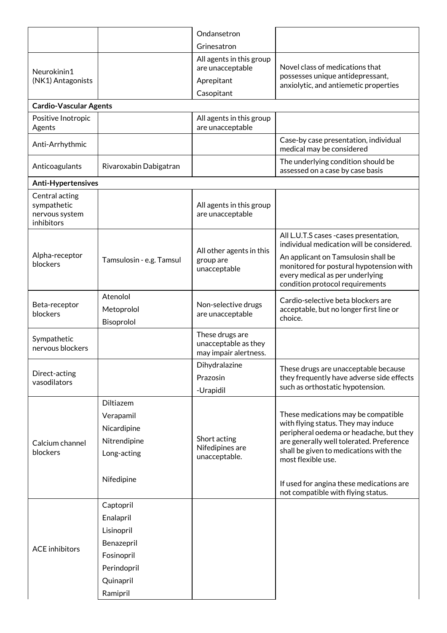|                                                               |                                      | Ondansetron                                                      |                                                                                                                                                      |
|---------------------------------------------------------------|--------------------------------------|------------------------------------------------------------------|------------------------------------------------------------------------------------------------------------------------------------------------------|
|                                                               |                                      | Grinesatron                                                      |                                                                                                                                                      |
| Neurokinin1                                                   |                                      | All agents in this group<br>are unacceptable                     | Novel class of medications that                                                                                                                      |
| (NK1) Antagonists                                             |                                      | Aprepitant                                                       | possesses unique antidepressant,<br>anxiolytic, and antiemetic properties                                                                            |
|                                                               |                                      | Casopitant                                                       |                                                                                                                                                      |
| <b>Cardio-Vascular Agents</b>                                 |                                      |                                                                  |                                                                                                                                                      |
| Positive Inotropic<br>Agents                                  |                                      | All agents in this group<br>are unacceptable                     |                                                                                                                                                      |
| Anti-Arrhythmic                                               |                                      |                                                                  | Case-by case presentation, individual<br>medical may be considered                                                                                   |
| Anticoagulants                                                | Rivaroxabin Dabigatran               |                                                                  | The underlying condition should be<br>assessed on a case by case basis                                                                               |
| Anti-Hypertensives                                            |                                      |                                                                  |                                                                                                                                                      |
| Central acting<br>sympathetic<br>nervous system<br>inhibitors |                                      | All agents in this group<br>are unacceptable                     |                                                                                                                                                      |
|                                                               |                                      |                                                                  | All L.U.T.S cases - cases presentation,<br>individual medication will be considered.                                                                 |
| Alpha-receptor<br>blockers                                    | Tamsulosin - e.g. Tamsul             | All other agents in this<br>group are<br>unacceptable            | An applicant on Tamsulosin shall be<br>monitored for postural hypotension with<br>every medical as per underlying<br>condition protocol requirements |
| Beta-receptor<br>blockers                                     | Atenolol<br>Metoprolol<br>Bisoprolol | Non-selective drugs<br>are unacceptable                          | Cardio-selective beta blockers are<br>acceptable, but no longer first line or<br>choice.                                                             |
| Sympathetic<br>nervous blockers                               |                                      | These drugs are<br>unacceptable as they<br>may impair alertness. |                                                                                                                                                      |
| Direct-acting<br>vasodilators                                 |                                      | Dihydralazine<br>Prazosin<br>-Urapidil                           | These drugs are unacceptable because<br>they frequently have adverse side effects<br>such as orthostatic hypotension.                                |
|                                                               | Diltiazem                            |                                                                  |                                                                                                                                                      |
|                                                               | Verapamil                            |                                                                  | These medications may be compatible                                                                                                                  |
|                                                               | Nicardipine                          |                                                                  | with flying status. They may induce<br>peripheral oedema or headache, but they                                                                       |
| Calcium channel                                               | Nitrendipine                         | Short acting<br>Nifedipines are                                  | are generally well tolerated. Preference                                                                                                             |
| blockers                                                      | Long-acting                          | unacceptable.                                                    | shall be given to medications with the<br>most flexible use.                                                                                         |
|                                                               | Nifedipine                           |                                                                  | If used for angina these medications are<br>not compatible with flying status.                                                                       |
|                                                               | Captopril                            |                                                                  |                                                                                                                                                      |
|                                                               | Enalapril                            |                                                                  |                                                                                                                                                      |
|                                                               | Lisinopril                           |                                                                  |                                                                                                                                                      |
| <b>ACE</b> inhibitors                                         | Benazepril                           |                                                                  |                                                                                                                                                      |
|                                                               | Fosinopril                           |                                                                  |                                                                                                                                                      |
|                                                               | Perindopril                          |                                                                  |                                                                                                                                                      |
|                                                               | Quinapril                            |                                                                  |                                                                                                                                                      |
|                                                               | Ramipril                             |                                                                  |                                                                                                                                                      |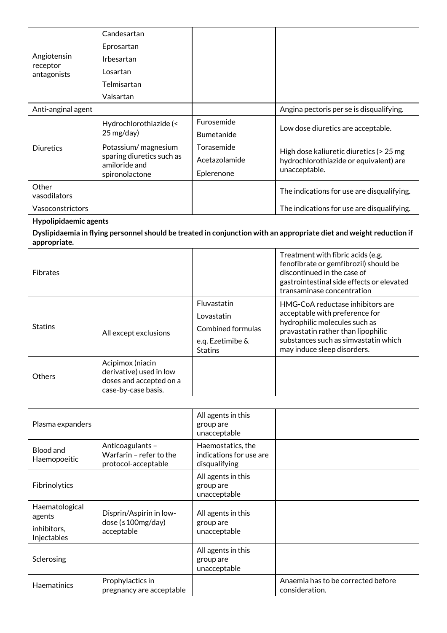|                                  | Candesartan                                          |                                 |                                                                                                                     |
|----------------------------------|------------------------------------------------------|---------------------------------|---------------------------------------------------------------------------------------------------------------------|
|                                  | Eprosartan                                           |                                 |                                                                                                                     |
| Angiotensin                      | Irbesartan                                           |                                 |                                                                                                                     |
| receptor<br>antagonists          | Losartan                                             |                                 |                                                                                                                     |
|                                  | Telmisartan                                          |                                 |                                                                                                                     |
|                                  | Valsartan                                            |                                 |                                                                                                                     |
| Anti-anginal agent               |                                                      |                                 | Angina pectoris per se is disqualifying.                                                                            |
|                                  | Hydrochlorothiazide (<                               | Furosemide                      |                                                                                                                     |
|                                  | 25 mg/day)                                           | Bumetanide                      | Low dose diuretics are acceptable.                                                                                  |
| <b>Diuretics</b>                 | Potassium/magnesium                                  | Torasemide                      | High dose kaliuretic diuretics (> 25 mg                                                                             |
|                                  | sparing diuretics such as<br>amiloride and           | Acetazolamide                   | hydrochlorothiazide or equivalent) are                                                                              |
|                                  | spironolactone                                       | Eplerenone                      | unacceptable.                                                                                                       |
| Other                            |                                                      |                                 |                                                                                                                     |
| vasodilators                     |                                                      |                                 | The indications for use are disqualifying.                                                                          |
| Vasoconstrictors                 |                                                      |                                 | The indications for use are disqualifying.                                                                          |
| Hypolipidaemic agents            |                                                      |                                 |                                                                                                                     |
| appropriate.                     |                                                      |                                 | Dyslipidaemia in flying personnel should be treated in conjunction with an appropriate diet and weight reduction if |
|                                  |                                                      |                                 | Treatment with fibric acids (e.g.                                                                                   |
| <b>Fibrates</b>                  |                                                      |                                 | fenofibrate or gemfibrozil) should be<br>discontinued in the case of                                                |
|                                  |                                                      |                                 | gastrointestinal side effects or elevated                                                                           |
|                                  |                                                      |                                 | transaminase concentration                                                                                          |
|                                  |                                                      | Fluvastatin                     | HMG-CoA reductase inhibitors are                                                                                    |
|                                  |                                                      | Lovastatin                      | acceptable with preference for<br>hydrophilic molecules such as                                                     |
| <b>Statins</b>                   | All except exclusions                                | <b>Combined formulas</b>        | pravastatin rather than lipophilic                                                                                  |
|                                  |                                                      | e.q. Ezetimibe &                | substances such as simvastatin which                                                                                |
|                                  |                                                      | <b>Statins</b>                  | may induce sleep disorders.                                                                                         |
|                                  | Acipimox (niacin<br>derivative) used in low          |                                 |                                                                                                                     |
| Others                           | doses and accepted on a                              |                                 |                                                                                                                     |
|                                  | case-by-case basis.                                  |                                 |                                                                                                                     |
|                                  |                                                      |                                 |                                                                                                                     |
|                                  |                                                      | All agents in this              |                                                                                                                     |
| Plasma expanders                 |                                                      | group are<br>unacceptable       |                                                                                                                     |
|                                  | Anticoagulants-                                      | Haemostatics, the               |                                                                                                                     |
| <b>Blood and</b><br>Haemopoeitic | Warfarin - refer to the                              | indications for use are         |                                                                                                                     |
|                                  | protocol-acceptable                                  | disqualifying                   |                                                                                                                     |
|                                  |                                                      | All agents in this              |                                                                                                                     |
| Fibrinolytics                    |                                                      | group are<br>unacceptable       |                                                                                                                     |
| Haematological                   |                                                      |                                 |                                                                                                                     |
| agents                           | Disprin/Aspirin in low-<br>dose ( $\leq 100$ mg/day) | All agents in this<br>group are |                                                                                                                     |
| inhibitors,                      | acceptable                                           | unacceptable                    |                                                                                                                     |
| Injectables                      |                                                      |                                 |                                                                                                                     |
| Sclerosing                       |                                                      | All agents in this<br>group are |                                                                                                                     |
|                                  |                                                      | unacceptable                    |                                                                                                                     |
|                                  | Prophylactics in                                     |                                 | Anaemia has to be corrected before                                                                                  |
| Haematinics                      | pregnancy are acceptable                             |                                 | consideration.                                                                                                      |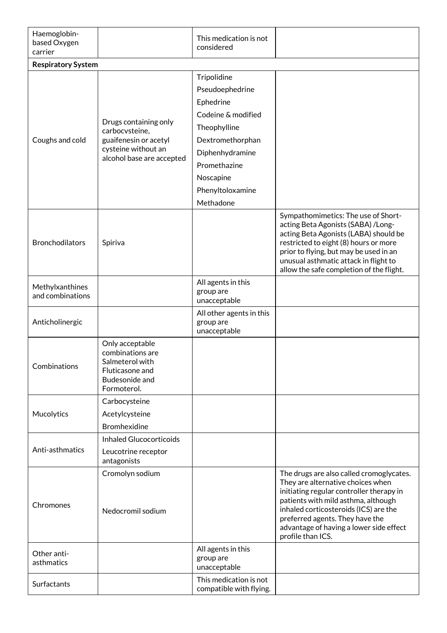| Haemoglobin-<br>based Oxygen<br>carrier |                                                                                                                      | This medication is not<br>considered                                                                                                                                                   |                                                                                                                                                                                                                                                                                                              |
|-----------------------------------------|----------------------------------------------------------------------------------------------------------------------|----------------------------------------------------------------------------------------------------------------------------------------------------------------------------------------|--------------------------------------------------------------------------------------------------------------------------------------------------------------------------------------------------------------------------------------------------------------------------------------------------------------|
| <b>Respiratory System</b>               |                                                                                                                      |                                                                                                                                                                                        |                                                                                                                                                                                                                                                                                                              |
| Coughs and cold                         | Drugs containing only<br>carbocvsteine,<br>guaifenesin or acetyl<br>cysteine without an<br>alcohol base are accepted | Tripolidine<br>Pseudoephedrine<br>Ephedrine<br>Codeine & modified<br>Theophylline<br>Dextromethorphan<br>Diphenhydramine<br>Promethazine<br>Noscapine<br>Phenyltoloxamine<br>Methadone |                                                                                                                                                                                                                                                                                                              |
| <b>Bronchodilators</b>                  | Spiriva                                                                                                              |                                                                                                                                                                                        | Sympathomimetics: The use of Short-<br>acting Beta Agonists (SABA) / Long-<br>acting Beta Agonists (LABA) should be<br>restricted to eight (8) hours or more<br>prior to flying, but may be used in an<br>unusual asthmatic attack in flight to<br>allow the safe completion of the flight.                  |
| Methylxanthines<br>and combinations     |                                                                                                                      | All agents in this<br>group are<br>unacceptable                                                                                                                                        |                                                                                                                                                                                                                                                                                                              |
| Anticholinergic                         |                                                                                                                      | All other agents in this<br>group are<br>unacceptable                                                                                                                                  |                                                                                                                                                                                                                                                                                                              |
| Combinations                            | Only acceptable<br>combinations are<br>Salmeterol with<br>Fluticasone and<br>Budesonide and<br>Formoterol.           |                                                                                                                                                                                        |                                                                                                                                                                                                                                                                                                              |
| Mucolytics                              | Carbocysteine<br>Acetylcysteine<br><b>Bromhexidine</b>                                                               |                                                                                                                                                                                        |                                                                                                                                                                                                                                                                                                              |
| Anti-asthmatics                         | <b>Inhaled Glucocorticoids</b><br>Leucotrine receptor<br>antagonists                                                 |                                                                                                                                                                                        |                                                                                                                                                                                                                                                                                                              |
| Chromones                               | Cromolyn sodium<br>Nedocromil sodium                                                                                 |                                                                                                                                                                                        | The drugs are also called cromoglycates.<br>They are alternative choices when<br>initiating regular controller therapy in<br>patients with mild asthma, although<br>inhaled corticosteroids (ICS) are the<br>preferred agents. They have the<br>advantage of having a lower side effect<br>profile than ICS. |
| Other anti-<br>asthmatics               |                                                                                                                      | All agents in this<br>group are<br>unacceptable                                                                                                                                        |                                                                                                                                                                                                                                                                                                              |
| Surfactants                             |                                                                                                                      | This medication is not<br>compatible with flying.                                                                                                                                      |                                                                                                                                                                                                                                                                                                              |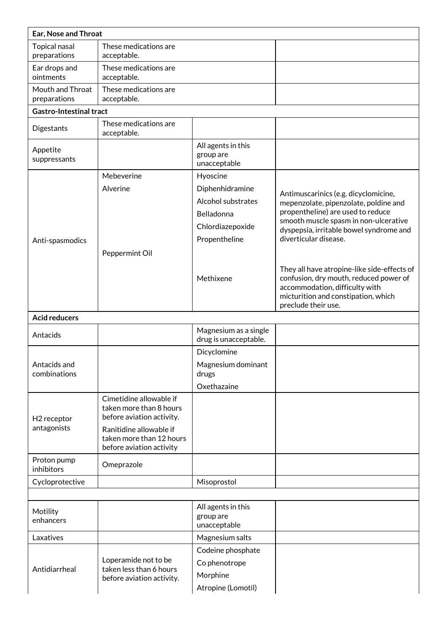| Ear, Nose and Throat                   |                                                                                                                                                                    |                                                                                                                   |                                                                                                                                                                                                                                                                                                                                                                                                                          |  |
|----------------------------------------|--------------------------------------------------------------------------------------------------------------------------------------------------------------------|-------------------------------------------------------------------------------------------------------------------|--------------------------------------------------------------------------------------------------------------------------------------------------------------------------------------------------------------------------------------------------------------------------------------------------------------------------------------------------------------------------------------------------------------------------|--|
| Topical nasal<br>preparations          | These medications are<br>acceptable.                                                                                                                               |                                                                                                                   |                                                                                                                                                                                                                                                                                                                                                                                                                          |  |
| Ear drops and<br>ointments             | These medications are<br>acceptable.                                                                                                                               |                                                                                                                   |                                                                                                                                                                                                                                                                                                                                                                                                                          |  |
| Mouth and Throat<br>preparations       | These medications are<br>acceptable.                                                                                                                               |                                                                                                                   |                                                                                                                                                                                                                                                                                                                                                                                                                          |  |
| <b>Gastro-Intestinal tract</b>         |                                                                                                                                                                    |                                                                                                                   |                                                                                                                                                                                                                                                                                                                                                                                                                          |  |
| Digestants                             | These medications are<br>acceptable.                                                                                                                               |                                                                                                                   |                                                                                                                                                                                                                                                                                                                                                                                                                          |  |
| Appetite<br>suppressants               |                                                                                                                                                                    | All agents in this<br>group are<br>unacceptable                                                                   |                                                                                                                                                                                                                                                                                                                                                                                                                          |  |
| Anti-spasmodics                        | Mebeverine<br>Alverine<br>Peppermint Oil                                                                                                                           | Hyoscine<br>Diphenhidramine<br>Alcohol substrates<br>Belladonna<br>Chlordiazepoxide<br>Propentheline<br>Methixene | Antimuscarinics (e.g. dicyclomicine,<br>mepenzolate, pipenzolate, poldine and<br>propentheline) are used to reduce<br>smooth muscle spasm in non-ulcerative<br>dyspepsia, irritable bowel syndrome and<br>diverticular disease.<br>They all have atropine-like side-effects of<br>confusion, dry mouth, reduced power of<br>accommodation, difficulty with<br>micturition and constipation, which<br>preclude their use. |  |
| <b>Acid reducers</b>                   |                                                                                                                                                                    |                                                                                                                   |                                                                                                                                                                                                                                                                                                                                                                                                                          |  |
| Antacids                               |                                                                                                                                                                    | Magnesium as a single<br>drug is unacceptable.                                                                    |                                                                                                                                                                                                                                                                                                                                                                                                                          |  |
| Antacids and<br>combinations           |                                                                                                                                                                    | Dicyclomine<br>Magnesium dominant<br>drugs<br>Oxethazaine                                                         |                                                                                                                                                                                                                                                                                                                                                                                                                          |  |
| H <sub>2</sub> receptor<br>antagonists | Cimetidine allowable if<br>taken more than 8 hours<br>before aviation activity.<br>Ranitidine allowable if<br>taken more than 12 hours<br>before aviation activity |                                                                                                                   |                                                                                                                                                                                                                                                                                                                                                                                                                          |  |
| Proton pump<br>inhibitors              | Omeprazole                                                                                                                                                         |                                                                                                                   |                                                                                                                                                                                                                                                                                                                                                                                                                          |  |
| Cycloprotective                        |                                                                                                                                                                    | Misoprostol                                                                                                       |                                                                                                                                                                                                                                                                                                                                                                                                                          |  |
|                                        |                                                                                                                                                                    |                                                                                                                   |                                                                                                                                                                                                                                                                                                                                                                                                                          |  |
| Motility<br>enhancers                  |                                                                                                                                                                    | All agents in this<br>group are<br>unacceptable                                                                   |                                                                                                                                                                                                                                                                                                                                                                                                                          |  |
| Laxatives                              |                                                                                                                                                                    | Magnesium salts                                                                                                   |                                                                                                                                                                                                                                                                                                                                                                                                                          |  |
| Antidiarrheal                          | Loperamide not to be<br>taken less than 6 hours<br>before aviation activity.                                                                                       | Codeine phosphate<br>Co phenotrope<br>Morphine<br>Atropine (Lomotil)                                              |                                                                                                                                                                                                                                                                                                                                                                                                                          |  |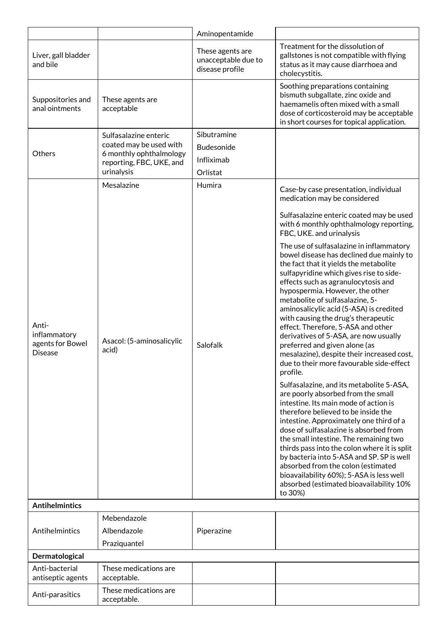|                                                             |                                                                                                                       | Aminopentamide                                             |                                                                                                                                                                                                                                                                                                                                                                                                                                                                                                                                                    |
|-------------------------------------------------------------|-----------------------------------------------------------------------------------------------------------------------|------------------------------------------------------------|----------------------------------------------------------------------------------------------------------------------------------------------------------------------------------------------------------------------------------------------------------------------------------------------------------------------------------------------------------------------------------------------------------------------------------------------------------------------------------------------------------------------------------------------------|
| Liver, gall bladder<br>and bile                             |                                                                                                                       | These agents are<br>unacceptable due to<br>disease profile | Treatment for the dissolution of<br>gallstones is not compatible with flying<br>status as it may cause diarrhoea and<br>cholecystitis.                                                                                                                                                                                                                                                                                                                                                                                                             |
| Suppositories and<br>anal ointments                         | These agents are<br>acceptable                                                                                        |                                                            | Soothing preparations containing<br>bismuth subgallate, zinc oxide and<br>haemamelis often mixed with a small<br>dose of corticosteroid may be acceptable<br>in short courses for topical application.                                                                                                                                                                                                                                                                                                                                             |
| Others                                                      | Sulfasalazine enteric<br>coated may be used with<br>6 monthly ophthalmology<br>reporting, FBC, UKE, and<br>urinalysis | Sibutramine<br>Budesonide<br>Infliximab<br>Orlistat        |                                                                                                                                                                                                                                                                                                                                                                                                                                                                                                                                                    |
|                                                             | Mesalazine                                                                                                            | Humira                                                     | Case-by case presentation, individual<br>medication may be considered                                                                                                                                                                                                                                                                                                                                                                                                                                                                              |
|                                                             |                                                                                                                       |                                                            | Sulfasalazine enteric coated may be used<br>with 6 monthly ophthalmology reporting,<br>FBC, UKE. and urinalysis<br>The use of sulfasalazine in inflammatory                                                                                                                                                                                                                                                                                                                                                                                        |
| Anti-<br>inflammatory<br>agents for Bowel<br><b>Disease</b> | Asacol: (5-aminosalicylic<br>acid)                                                                                    | Salofalk                                                   | bowel disease has declined due mainly to<br>the fact that it yields the metabolite<br>sulfapyridine which gives rise to side-<br>effects such as agranulocytosis and<br>hypospermia. However, the other<br>metabolite of sulfasalazine, 5-<br>aminosalicylic acid (5-ASA) is credited<br>with causing the drug's therapeutic<br>effect. Therefore, 5-ASA and other<br>derivatives of 5-ASA, are now usually<br>preferred and given alone (as<br>mesalazine), despite their increased cost,<br>due to their more favourable side-effect<br>profile. |
|                                                             |                                                                                                                       |                                                            | Sulfasalazine, and its metabolite 5-ASA,<br>are poorly absorbed from the small<br>intestine. Its main mode of action is<br>therefore believed to be inside the<br>intestine. Approximately one third of a<br>dose of sulfasalazine is absorbed from<br>the small intestine. The remaining two<br>thirds pass into the colon where it is split<br>by bacteria into 5-ASA and SP. SP is well<br>absorbed from the colon (estimated<br>bioavailability 60%); 5-ASA is less well<br>absorbed (estimated bioavailability 10%<br>to 30%)                 |
| <b>Antihelmintics</b>                                       |                                                                                                                       |                                                            |                                                                                                                                                                                                                                                                                                                                                                                                                                                                                                                                                    |
| Antihelmintics                                              | Mebendazole<br>Albendazole<br>Praziquantel                                                                            | Piperazine                                                 |                                                                                                                                                                                                                                                                                                                                                                                                                                                                                                                                                    |
| Dermatological                                              |                                                                                                                       |                                                            |                                                                                                                                                                                                                                                                                                                                                                                                                                                                                                                                                    |
| Anti-bacterial<br>antiseptic agents                         | These medications are<br>acceptable.                                                                                  |                                                            |                                                                                                                                                                                                                                                                                                                                                                                                                                                                                                                                                    |
| Anti-parasitics                                             | These medications are<br>acceptable.                                                                                  |                                                            |                                                                                                                                                                                                                                                                                                                                                                                                                                                                                                                                                    |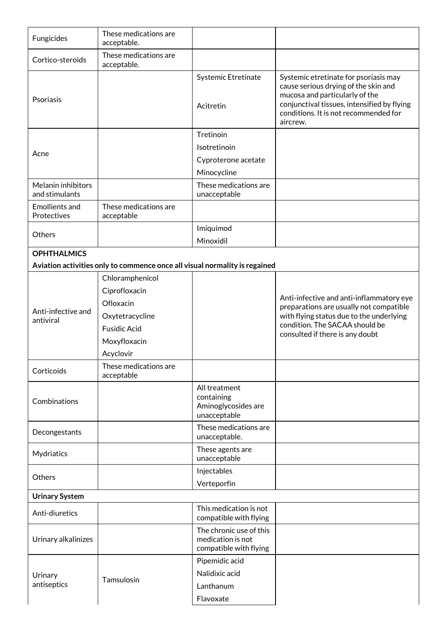| Fungicides                           | These medications are<br>acceptable.                                                                                 |                                                                        |                                                                                                                                                                                                                     |
|--------------------------------------|----------------------------------------------------------------------------------------------------------------------|------------------------------------------------------------------------|---------------------------------------------------------------------------------------------------------------------------------------------------------------------------------------------------------------------|
| Cortico-steroids                     | These medications are<br>acceptable.                                                                                 |                                                                        |                                                                                                                                                                                                                     |
| Psoriasis                            |                                                                                                                      | Systemic Etretinate<br>Acitretin                                       | Systemic etretinate for psoriasis may<br>cause serious drying of the skin and<br>mucosa and particularly of the<br>conjunctival tissues, intensified by flying<br>conditions. It is not recommended for<br>aircrew. |
|                                      |                                                                                                                      | Tretinoin                                                              |                                                                                                                                                                                                                     |
| Acne                                 |                                                                                                                      | Isotretinoin                                                           |                                                                                                                                                                                                                     |
|                                      |                                                                                                                      | Cyproterone acetate                                                    |                                                                                                                                                                                                                     |
|                                      |                                                                                                                      | Minocycline                                                            |                                                                                                                                                                                                                     |
| Melanin inhibitors<br>and stimulants |                                                                                                                      | These medications are<br>unacceptable                                  |                                                                                                                                                                                                                     |
| <b>Emollients and</b><br>Protectives | These medications are<br>acceptable                                                                                  |                                                                        |                                                                                                                                                                                                                     |
| Others                               |                                                                                                                      | Imiquimod                                                              |                                                                                                                                                                                                                     |
|                                      |                                                                                                                      | Minoxidil                                                              |                                                                                                                                                                                                                     |
| <b>OPHTHALMICS</b>                   |                                                                                                                      |                                                                        |                                                                                                                                                                                                                     |
|                                      | Aviation activities only to commence once all visual normality is regained                                           |                                                                        |                                                                                                                                                                                                                     |
| Anti-infective and<br>antiviral      | Chloramphenicol<br>Ciprofloxacin<br>Ofloxacin<br>Oxytetracycline<br><b>Fusidic Acid</b><br>Moxyfloxacin<br>Acyclovir |                                                                        | Anti-infective and anti-inflammatory eye<br>preparations are usually not compatible<br>with flying status due to the underlying<br>condition. The SACAA should be<br>consulted if there is any doubt                |
| Corticoids                           | These medications are<br>acceptable                                                                                  |                                                                        |                                                                                                                                                                                                                     |
| Combinations                         |                                                                                                                      | All treatment<br>containing<br>Aminoglycosides are<br>unacceptable     |                                                                                                                                                                                                                     |
| Decongestants                        |                                                                                                                      | These medications are<br>unacceptable.                                 |                                                                                                                                                                                                                     |
| Mydriatics                           |                                                                                                                      | These agents are<br>unacceptable                                       |                                                                                                                                                                                                                     |
| Others                               |                                                                                                                      | Injectables<br>Verteporfin                                             |                                                                                                                                                                                                                     |
| <b>Urinary System</b>                |                                                                                                                      |                                                                        |                                                                                                                                                                                                                     |
| Anti-diuretics                       |                                                                                                                      | This medication is not<br>compatible with flying                       |                                                                                                                                                                                                                     |
| Urinary alkalinizes                  |                                                                                                                      | The chronic use of this<br>medication is not<br>compatible with flying |                                                                                                                                                                                                                     |
| Urinary<br>antiseptics               | Tamsulosin                                                                                                           | Pipemidic acid<br>Nalidixic acid<br>Lanthanum<br>Flavoxate             |                                                                                                                                                                                                                     |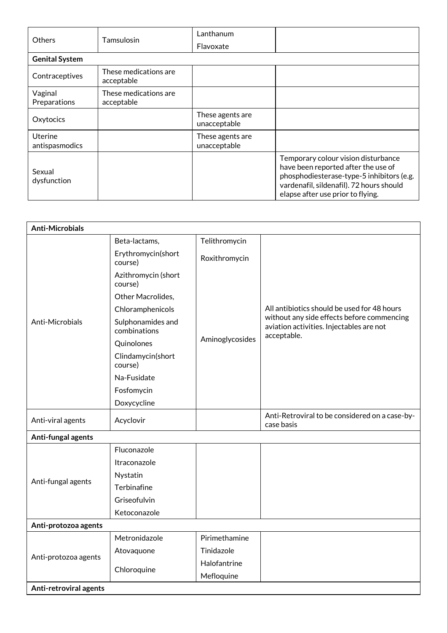| Others                           | Tamsulosin                          | Lanthanum                        |                                                                                                                                                                                                          |
|----------------------------------|-------------------------------------|----------------------------------|----------------------------------------------------------------------------------------------------------------------------------------------------------------------------------------------------------|
|                                  |                                     | Flavoxate                        |                                                                                                                                                                                                          |
| <b>Genital System</b>            |                                     |                                  |                                                                                                                                                                                                          |
| Contraceptives                   | These medications are<br>acceptable |                                  |                                                                                                                                                                                                          |
| Vaginal<br>Preparations          | These medications are<br>acceptable |                                  |                                                                                                                                                                                                          |
| Oxytocics                        |                                     | These agents are<br>unacceptable |                                                                                                                                                                                                          |
| <b>Uterine</b><br>antispasmodics |                                     | These agents are<br>unacceptable |                                                                                                                                                                                                          |
| Sexual<br>dysfunction            |                                     |                                  | Temporary colour vision disturbance<br>have been reported after the use of<br>phosphodiesterase-type-5 inhibitors (e.g.<br>vardenafil, sildenafil). 72 hours should<br>elapse after use prior to flying. |

| <b>Anti-Microbials</b> |                                   |                 |                                                                                                       |
|------------------------|-----------------------------------|-----------------|-------------------------------------------------------------------------------------------------------|
|                        | Beta-lactams,                     | Telithromycin   |                                                                                                       |
|                        | Erythromycin(short<br>course)     | Roxithromycin   |                                                                                                       |
|                        | Azithromycin (short<br>course)    |                 |                                                                                                       |
|                        | Other Macrolides,                 |                 |                                                                                                       |
|                        | Chloramphenicols                  |                 | All antibiotics should be used for 48 hours                                                           |
| Anti-Microbials        | Sulphonamides and<br>combinations |                 | without any side effects before commencing<br>aviation activities. Injectables are not<br>acceptable. |
|                        | Quinolones                        | Aminoglycosides |                                                                                                       |
|                        | Clindamycin(short<br>course)      |                 |                                                                                                       |
|                        | Na-Fusidate                       |                 |                                                                                                       |
|                        | Fosfomycin                        |                 |                                                                                                       |
|                        | Doxycycline                       |                 |                                                                                                       |
| Anti-viral agents      | Acyclovir                         |                 | Anti-Retroviral to be considered on a case-by-<br>case basis                                          |
| Anti-fungal agents     |                                   |                 |                                                                                                       |
|                        | Fluconazole                       |                 |                                                                                                       |
|                        | Itraconazole                      |                 |                                                                                                       |
| Anti-fungal agents     | Nystatin                          |                 |                                                                                                       |
|                        | Terbinafine                       |                 |                                                                                                       |
|                        | Griseofulvin                      |                 |                                                                                                       |
|                        | Ketoconazole                      |                 |                                                                                                       |
| Anti-protozoa agents   |                                   |                 |                                                                                                       |
|                        | Metronidazole                     | Pirimethamine   |                                                                                                       |
| Anti-protozoa agents   | Atovaquone                        | Tinidazole      |                                                                                                       |
|                        | Chloroquine                       | Halofantrine    |                                                                                                       |
|                        |                                   | Mefloquine      |                                                                                                       |
| Anti-retroviral agents |                                   |                 |                                                                                                       |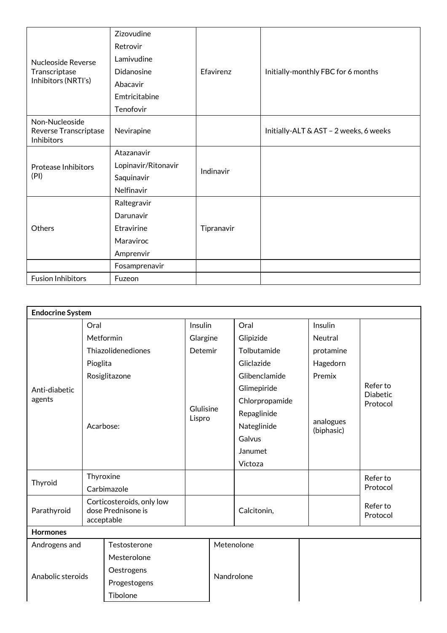|                                                       | Zizovudine          |            |                                        |
|-------------------------------------------------------|---------------------|------------|----------------------------------------|
|                                                       | Retrovir            |            |                                        |
| Nucleoside Reverse                                    | Lamivudine          |            |                                        |
| Transcriptase                                         | Didanosine          | Efavirenz  | Initially-monthly FBC for 6 months     |
| Inhibitors (NRTI's)                                   | Abacavir            |            |                                        |
|                                                       | Emtricitabine       |            |                                        |
|                                                       | Tenofovir           |            |                                        |
| Non-Nucleoside<br>Reverse Transcriptase<br>Inhibitors | Nevirapine          |            | Initially-ALT & AST - 2 weeks, 6 weeks |
|                                                       | Atazanavir          | Indinavir  |                                        |
| <b>Protease Inhibitors</b>                            | Lopinavir/Ritonavir |            |                                        |
| (PI)                                                  | Saquinavir          |            |                                        |
|                                                       | Nelfinavir          |            |                                        |
|                                                       | Raltegravir         |            |                                        |
|                                                       | Darunavir           |            |                                        |
| Others                                                | Etravirine          | Tipranavir |                                        |
|                                                       | Maraviroc           |            |                                        |
|                                                       | Amprenvir           |            |                                        |
|                                                       | Fosamprenavir       |            |                                        |
| <b>Fusion Inhibitors</b>                              | Fuzeon              |            |                                        |

| <b>Endocrine System</b> |             |                                                 |                     |            |                |                         |                                         |  |
|-------------------------|-------------|-------------------------------------------------|---------------------|------------|----------------|-------------------------|-----------------------------------------|--|
|                         | Oral        |                                                 | Insulin<br>Glargine |            | Oral           | Insulin                 |                                         |  |
| Anti-diabetic<br>agents | Metformin   |                                                 |                     |            | Glipizide      | Neutral                 |                                         |  |
|                         |             | Thiazolidenediones                              | Detemir             |            | Tolbutamide    | protamine               |                                         |  |
|                         | Pioglita    |                                                 |                     |            | Gliclazide     | Hagedorn                |                                         |  |
|                         |             | Rosiglitazone                                   |                     |            | Glibenclamide  | Premix                  |                                         |  |
|                         |             |                                                 | Glulisine           |            | Glimepiride    |                         | Refer to<br><b>Diabetic</b><br>Protocol |  |
|                         |             |                                                 |                     |            | Chlorpropamide |                         |                                         |  |
|                         |             |                                                 |                     |            | Repaglinide    |                         |                                         |  |
|                         | Acarbose:   |                                                 | Lispro              |            | Nateglinide    | analogues<br>(biphasic) |                                         |  |
|                         |             |                                                 |                     |            | Galvus         |                         |                                         |  |
|                         |             |                                                 |                     |            | Janumet        |                         |                                         |  |
|                         |             |                                                 |                     |            | Victoza        |                         |                                         |  |
| Thyroid                 | Thyroxine   |                                                 |                     |            |                |                         | Refer to<br>Protocol                    |  |
|                         |             | Carbimazole                                     |                     |            |                |                         |                                         |  |
| Parathyroid             | acceptable  | Corticosteroids, only low<br>dose Prednisone is |                     |            | Calcitonin,    |                         | Refer to<br>Protocol                    |  |
| <b>Hormones</b>         |             |                                                 |                     |            |                |                         |                                         |  |
| Androgens and           |             | Testosterone                                    |                     | Metenolone |                |                         |                                         |  |
|                         | Mesterolone |                                                 |                     |            |                |                         |                                         |  |
| Anabolic steroids       |             | Oestrogens<br>Progestogens                      |                     | Nandrolone |                |                         |                                         |  |
|                         |             |                                                 |                     |            |                |                         |                                         |  |
|                         | Tibolone    |                                                 |                     |            |                |                         |                                         |  |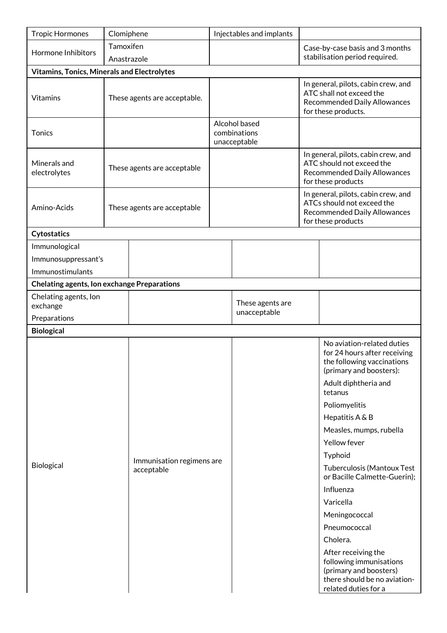| <b>Tropic Hormones</b>                             | Clomiphene                  |                              | Injectables and implants                      |  |                                                                                                                         |                                                                                                                                  |  |
|----------------------------------------------------|-----------------------------|------------------------------|-----------------------------------------------|--|-------------------------------------------------------------------------------------------------------------------------|----------------------------------------------------------------------------------------------------------------------------------|--|
| Hormone Inhibitors                                 | Tamoxifen<br>Anastrazole    |                              |                                               |  | Case-by-case basis and 3 months<br>stabilisation period required.                                                       |                                                                                                                                  |  |
| <b>Vitamins, Tonics, Minerals and Electrolytes</b> |                             |                              |                                               |  |                                                                                                                         |                                                                                                                                  |  |
| <b>Vitamins</b>                                    |                             | These agents are acceptable. |                                               |  |                                                                                                                         | In general, pilots, cabin crew, and<br>ATC shall not exceed the<br>Recommended Daily Allowances<br>for these products.           |  |
| <b>Tonics</b>                                      |                             |                              | Alcohol based<br>combinations<br>unacceptable |  |                                                                                                                         |                                                                                                                                  |  |
| Minerals and<br>electrolytes                       | These agents are acceptable |                              |                                               |  | In general, pilots, cabin crew, and<br>ATC should not exceed the<br>Recommended Daily Allowances<br>for these products  |                                                                                                                                  |  |
| Amino-Acids                                        |                             | These agents are acceptable  |                                               |  | In general, pilots, cabin crew, and<br>ATCs should not exceed the<br>Recommended Daily Allowances<br>for these products |                                                                                                                                  |  |
| Cytostatics                                        |                             |                              |                                               |  |                                                                                                                         |                                                                                                                                  |  |
| Immunological                                      |                             |                              |                                               |  |                                                                                                                         |                                                                                                                                  |  |
| Immunosuppressant's                                |                             |                              |                                               |  |                                                                                                                         |                                                                                                                                  |  |
| Immunostimulants                                   |                             |                              |                                               |  |                                                                                                                         |                                                                                                                                  |  |
| <b>Chelating agents, Ion exchange Preparations</b> |                             |                              |                                               |  |                                                                                                                         |                                                                                                                                  |  |
| Chelating agents, Ion<br>exchange                  |                             |                              | These agents are<br>unacceptable              |  |                                                                                                                         |                                                                                                                                  |  |
| Preparations                                       |                             |                              |                                               |  |                                                                                                                         |                                                                                                                                  |  |
| <b>Biological</b>                                  |                             |                              |                                               |  |                                                                                                                         |                                                                                                                                  |  |
|                                                    |                             |                              |                                               |  |                                                                                                                         | No aviation-related duties<br>for 24 hours after receiving<br>the following vaccinations<br>(primary and boosters):              |  |
|                                                    |                             |                              |                                               |  |                                                                                                                         | Adult diphtheria and<br>tetanus                                                                                                  |  |
|                                                    |                             |                              |                                               |  |                                                                                                                         | Poliomyelitis                                                                                                                    |  |
|                                                    |                             |                              |                                               |  |                                                                                                                         | Hepatitis A & B                                                                                                                  |  |
|                                                    |                             |                              |                                               |  |                                                                                                                         | Measles, mumps, rubella                                                                                                          |  |
|                                                    |                             |                              |                                               |  |                                                                                                                         | Yellow fever                                                                                                                     |  |
|                                                    |                             | Immunisation regimens are    |                                               |  |                                                                                                                         | Typhoid                                                                                                                          |  |
| Biological                                         |                             | acceptable                   |                                               |  |                                                                                                                         | <b>Tuberculosis (Mantoux Test</b><br>or Bacille Calmette-Guerin);                                                                |  |
|                                                    |                             |                              |                                               |  |                                                                                                                         | Influenza                                                                                                                        |  |
|                                                    |                             |                              |                                               |  |                                                                                                                         | Varicella                                                                                                                        |  |
|                                                    |                             |                              |                                               |  |                                                                                                                         | Meningococcal                                                                                                                    |  |
|                                                    |                             |                              |                                               |  |                                                                                                                         | Pneumococcal                                                                                                                     |  |
|                                                    |                             |                              |                                               |  |                                                                                                                         | Cholera.                                                                                                                         |  |
|                                                    |                             |                              |                                               |  |                                                                                                                         | After receiving the<br>following immunisations<br>(primary and boosters)<br>there should be no aviation-<br>related duties for a |  |